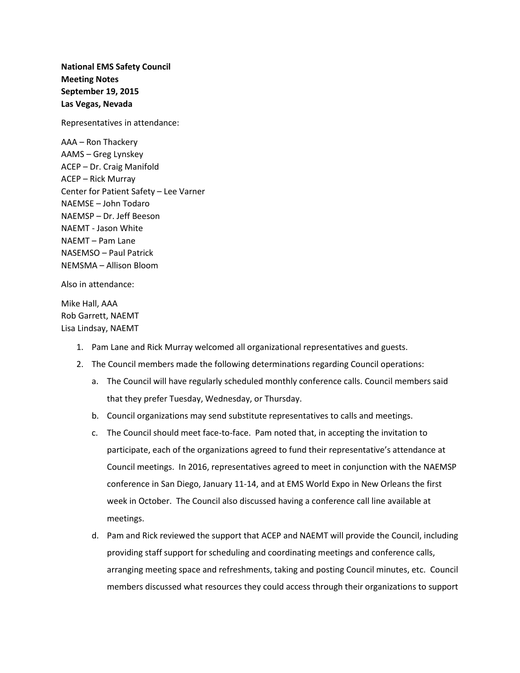**National EMS Safety Council Meeting Notes September 19, 2015 Las Vegas, Nevada**

Representatives in attendance:

AAA – Ron Thackery AAMS – Greg Lynskey ACEP – Dr. Craig Manifold ACEP – Rick Murray Center for Patient Safety – Lee Varner NAEMSE – John Todaro NAEMSP – Dr. Jeff Beeson NAEMT - Jason White NAEMT – Pam Lane NASEMSO – Paul Patrick NEMSMA – Allison Bloom

Also in attendance:

Mike Hall, AAA Rob Garrett, NAEMT Lisa Lindsay, NAEMT

- 1. Pam Lane and Rick Murray welcomed all organizational representatives and guests.
- 2. The Council members made the following determinations regarding Council operations:
	- a. The Council will have regularly scheduled monthly conference calls. Council members said that they prefer Tuesday, Wednesday, or Thursday.
	- b. Council organizations may send substitute representatives to calls and meetings.
	- c. The Council should meet face-to-face. Pam noted that, in accepting the invitation to participate, each of the organizations agreed to fund their representative's attendance at Council meetings. In 2016, representatives agreed to meet in conjunction with the NAEMSP conference in San Diego, January 11-14, and at EMS World Expo in New Orleans the first week in October. The Council also discussed having a conference call line available at meetings.
	- d. Pam and Rick reviewed the support that ACEP and NAEMT will provide the Council, including providing staff support for scheduling and coordinating meetings and conference calls, arranging meeting space and refreshments, taking and posting Council minutes, etc. Council members discussed what resources they could access through their organizations to support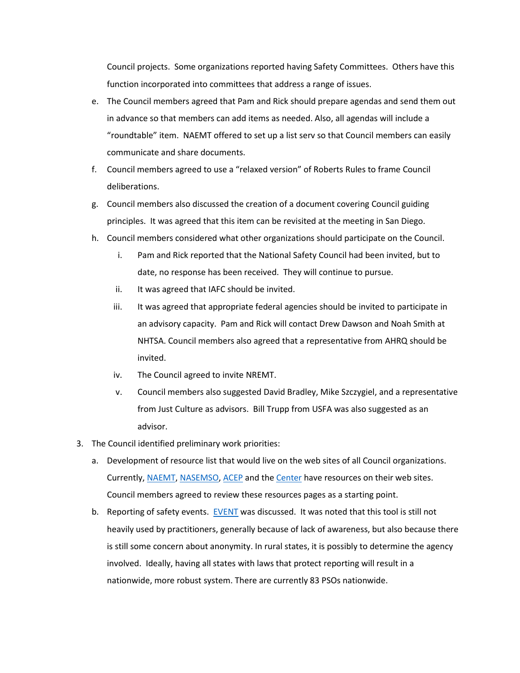Council projects. Some organizations reported having Safety Committees. Others have this function incorporated into committees that address a range of issues.

- e. The Council members agreed that Pam and Rick should prepare agendas and send them out in advance so that members can add items as needed. Also, all agendas will include a "roundtable" item. NAEMT offered to set up a list serv so that Council members can easily communicate and share documents.
- f. Council members agreed to use a "relaxed version" of Roberts Rules to frame Council deliberations.
- g. Council members also discussed the creation of a document covering Council guiding principles. It was agreed that this item can be revisited at the meeting in San Diego.
- h. Council members considered what other organizations should participate on the Council.
	- i. Pam and Rick reported that the National Safety Council had been invited, but to date, no response has been received. They will continue to pursue.
	- ii. It was agreed that IAFC should be invited.
	- iii. It was agreed that appropriate federal agencies should be invited to participate in an advisory capacity. Pam and Rick will contact Drew Dawson and Noah Smith at NHTSA. Council members also agreed that a representative from AHRQ should be invited.
	- iv. The Council agreed to invite NREMT.
	- v. Council members also suggested David Bradley, Mike Szczygiel, and a representative from Just Culture as advisors. Bill Trupp from USFA was also suggested as an advisor.
- 3. The Council identified preliminary work priorities:
	- a. Development of resource list that would live on the web sites of all Council organizations. Currently, [NAEMT,](http://www.naemt.org/emshealthsafety/HealthSafety_Resources.aspx) [NASEMSO,](http://www.nasemso.org/Resources/Links/index.asp) [ACEP](http://www.acep.org/Clinical---Practice-Management/Quality-Care-and-Patient-Safety/) and the [Center](http://www.centerforpatientsafety.org/my-general-resources/) have resources on their web sites. Council members agreed to review these resources pages as a starting point.
	- b. Reporting of safety events. [EVENT](http://event.clirems.org/) was discussed. It was noted that this tool is still not heavily used by practitioners, generally because of lack of awareness, but also because there is still some concern about anonymity. In rural states, it is possibly to determine the agency involved. Ideally, having all states with laws that protect reporting will result in a nationwide, more robust system. There are currently 83 PSOs nationwide.